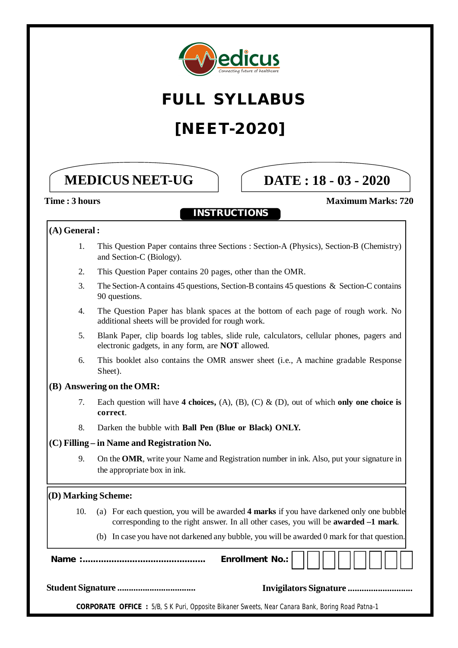

# *FULL SYLLABUS*

# *[NEET-2020]*

# **MEDICUS NEET-UG**

# **DATE : 18 - 03 - 2020**

### **Time : 3 hours Maximum Marks: 720**

### **INSTRUCTIONS**

### **(A) General :**

- 1. This Question Paper contains three Sections : Section-A (Physics), Section-B (Chemistry) and Section-C (Biology).
- 2. This Question Paper contains 20 pages, other than the OMR.
- 3. The Section-A contains 45 questions, Section-B contains 45 questions & Section-C contains 90 questions.
- 4. The Question Paper has blank spaces at the bottom of each page of rough work. No additional sheets will be provided for rough work.
- 5. Blank Paper, clip boards log tables, slide rule, calculators, cellular phones, pagers and electronic gadgets, in any form, are **NOT** allowed.
- 6. This booklet also contains the OMR answer sheet (i.e., A machine gradable Response Sheet).

### **(B) Answering on the OMR:**

- 7. Each question will have **4 choices,** (A), (B), (C) & (D), out of which **only one choice is correct**.
- 8. Darken the bubble with **Ball Pen (Blue or Black) ONLY.**

### **(C) Filling – in Name and Registration No.**

9. On the **OMR**, write your Name and Registration number in ink. Also, put your signature in the appropriate box in ink.

### **(D) Marking Scheme:**

- 10. (a) For each question, you will be awarded **4 marks** if you have darkened only one bubble corresponding to the right answer. In all other cases, you will be **awarded –1 mark**.
	- (b) In case you have not darkened any bubble, you will be awarded 0 mark for that question.

| Name $\ldots$ | Enrollment No.:                     <sup> '</sup> |
|---------------|---------------------------------------------------|
|               |                                                   |

 **CORPORATE OFFICE :** 5/B, S K Puri, Opposite Bikaner Sweets, Near Canara Bank, Boring Road Patna-1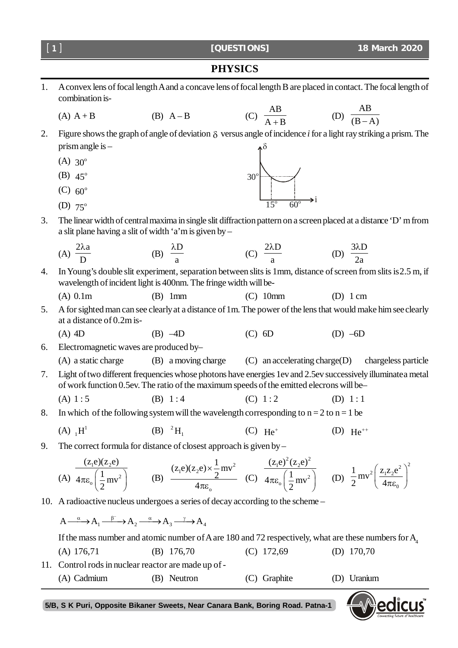### **PHYSICS**

- 1. A convex lens of focal length A and a concave lens of focal length B are placed in contact. The focal length of combination is-
	- (A)  $A + B$  (B)  $A B$ AB  $A + B$ (D) AB  $(B-A)$
- 2. Figure shows the graph of angle of deviation  $\delta$  versus angle of incidence *i* for a light ray striking a prism. The prism angle is –  $\delta$ 
	- (A)  $30^{\circ}$
	- (B)  $45^{\circ}$
	- (C)  $60^{\circ}$
	- (D)  $75^{\circ}$
- 3. The linear width of central maxima in single slit diffraction pattern on a screen placed at a distance 'D' m from a slit plane having a slit of width 'a'm is given by –

(A) 
$$
\frac{2\lambda a}{D}
$$
 \t\t (B)  $\frac{\lambda D}{a}$  \t\t (C)  $\frac{2\lambda D}{a}$  \t\t (D)  $\frac{3\lambda D}{2a}$ 

4. In Young's double slit experiment, separation between slits is 1mm, distance of screen from slits is 2.5 m, if wavelength of incident light is 400nm. The fringe width will be-

(A) 0.1m (B) 1mm (C) 10mm (D) 1 cm

- 5. A for sighted man can see clearly at a distance of 1m. The power of the lens that would make him see clearly at a distance of 0.2m is-
	- (A) 4D (B) –4D (C) 6D (D) –6D
- 6. Electromagnetic waves are produced by–
- (A) a static charge (B) a moving charge (C) an accelerating charge(D) chargeless particle 7. Light of two different frequencies whose photons have energies 1ev and 2.5ev successively illuminate a metal of work function 0.5ev. The ratio of the maximum speeds of the emitted elecrons will be–
	- (A) 1 : 5 (B) 1 : 4 (C) 1 : 2 (D) 1 : 1
- 8. In which of the following system will the wavelength corresponding to  $n = 2$  to  $n = 1$  be
	- $(A)$ <sub>1</sub> $H^1$ (B)  ${}^{2}H_{1}$  $(C)$  He<sup>+</sup> (D)  $He^{++}$
- 9. The correct formula for distance of closest approach is given by –

(A) 
$$
\frac{(z_1e)(z_2e)}{4\pi \epsilon_0 \left(\frac{1}{2}mv^2\right)}
$$
 (B)  $\frac{(z_1e)(z_2e) \times \frac{1}{2}mv^2}{4\pi \epsilon_0}$  (C)  $\frac{(z_1e)^2(z_2e)^2}{4\pi \epsilon_0 \left(\frac{1}{2}mv^2\right)}$  (D)  $\frac{1}{2}mv^2 \left(\frac{z_1z_2e^2}{4\pi \epsilon_0}\right)^2$ 

10. A radioactive nucleus undergoes a series of decay according to the scheme –

 $A \xrightarrow{\alpha} A_1 \xrightarrow{\beta^-} A_2 \xrightarrow{\alpha} A_3 \xrightarrow{\gamma} A_4$ 

If the mass number and atomic number of A are 180 and 72 respectively, what are these numbers for  $A_1$ (A) 176,71 (B) 176,70 (C) 172,69 (D) 170,70 11. Control rods in nuclear reactor are made up of -

(A) Cadmium (B) Neutron (C) Graphite (D) Uranium





i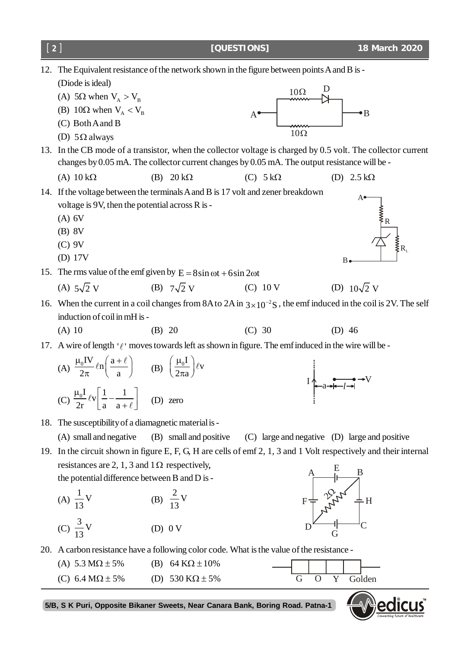**[QUESTIONS] 18 March 2020** [ **2** ] 12. The Equivalent resistance of the network shown in the figure between points A and B is - (Diode is ideal) (A)  $5\Omega$  when  $V_A > V_B$ (B)  $10\Omega$  when  $V_A < V_B$  $\Omega$   $\Gamma$ Ω 10 10 (C) Both A and B (D)  $5\Omega$  always 13. In the CB mode of a transistor, when the collector voltage is charged by 0.5 volt. The collector current changes by 0.05 mA. The collector current changes by 0.05 mA. The output resistance will be - (A)  $10 k\Omega$  (B)  $20 k\Omega$  (C)  $5 k\Omega$  (D)  $2.5 k\Omega$ 14. If the voltage between the terminals A and B is 17 volt and zener breakdown voltage is 9V, then the potential across R is - (A) 6V (B) 8V R  $\rm R_{L}$ A <sub>R</sub> (C) 9V (D) 17V 15. The rms value of the emf given by  $E = 8 \sin \omega t + 6 \sin 2\omega t$ (A)  $5\sqrt{2}$  V (B)  $7\sqrt{2}$  V (C)  $10$  V (D)  $10\sqrt{2}$  V 16. When the current in a coil changes from 8A to  $2A$  in  $3 \times 10^{-2}$  s, the emf induced in the coil is 2V. The self induction of coil in mH is - (A) 10 (B) 20 (C) 30 (D) 46 17. A wire of length  $\gamma$  moves towards left as shown in figure. The emfinduced in the wire will be -(A)  $\frac{\mu_0 IV}{2\pi}$ en  $\left(\frac{a}{2}\right)$  $2\pi$  (a  $\mu_0$ IV  $_{\ell_{\rm m}}(a+\ell)$  $\frac{-ln(-a)}{a}$  $\ell n \left( \frac{a+\ell}{a} \right)$  (B)  $\left( \frac{\mu_0 I}{2\pi a} \right) \ell v$  $2\pi a$  ,  $\left(\begin{array}{c} \mu_0 \text{I}\end{array}\right)_{\rho_0}$  $\left(\frac{\mu_0 I}{2\pi a}\right)\ell v$ I *l* V a (C)  $\frac{\mu_0 I}{2r} \ell v \frac{1}{2} - \frac{1}{2}$  $2r$  a a  $\frac{\mu_0 I}{2r} \ell v \left[ \frac{1}{a} - \frac{1}{a + \ell} \right]$  $\overline{\ell}$  (D) zero 18. The susceptibility of a diamagnetic material is - (A) small and negative (B) small and positive (C) large and negative (D) large and positive 19. In the circuit shown in figure E, F, G, H are cells of emf 2, 1, 3 and 1 Volt respectively and their internal resistances are 2, 1, 3 and  $1\Omega$  respectively, the potential difference between B and D is - (A)  $\frac{1}{13}V$  (B)  $\frac{2}{13}$  V A  $E$  B  $E + \frac{1}{2}$  수 + H G  $D \longrightarrow C$  $22$ (C)  $\frac{3}{2}$  V (D)  $0 V$ 20. A carbon resistance have a following color code. What is the value of the resistance - (A)  $5.3 M\Omega \pm 5\%$  (B)  $64 K\Omega \pm 10\%$ 

**5/B, S K Puri, Opposite Bikaner Sweets, Near Canara Bank, Boring Road. Patna-1**

(C) 6.4 M  $\Omega \pm 5\%$  (D) 530 K  $\Omega \pm 5\%$  G O Y Golden

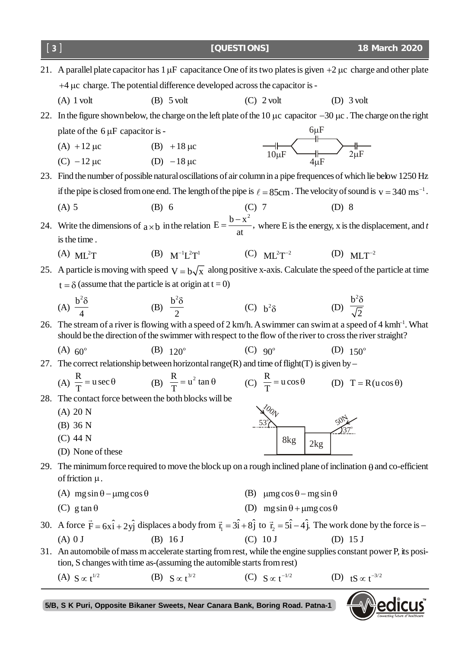| $\begin{bmatrix} 3 \end{bmatrix}$ |                                                                                                                                                                                                                                           | [QUESTIONS]                                              | 18 March 2020                                                                                                                                |
|-----------------------------------|-------------------------------------------------------------------------------------------------------------------------------------------------------------------------------------------------------------------------------------------|----------------------------------------------------------|----------------------------------------------------------------------------------------------------------------------------------------------|
|                                   | 21. A parallel plate capacitor has $1 \mu$ F capacitance One of its two plates is given $+2 \mu$ c charge and other plate                                                                                                                 |                                                          |                                                                                                                                              |
|                                   | $+4 \mu c$ charge. The potential difference developed across the capacitor is -                                                                                                                                                           |                                                          |                                                                                                                                              |
|                                   | $(A)$ 1 volt<br>$(B)$ 5 volt                                                                                                                                                                                                              | $(C)$ 2 volt                                             | (D) $3$ volt                                                                                                                                 |
|                                   | 22. In the figure shown below, the charge on the left plate of the 10 µc capacitor $-30 \mu$ c. The charge on the right                                                                                                                   |                                                          |                                                                                                                                              |
|                                   | plate of the $6 \mu$ F capacitor is -                                                                                                                                                                                                     |                                                          |                                                                                                                                              |
|                                   | (A) +12 $\mu$ c (B) +18 $\mu$ c                                                                                                                                                                                                           | $\frac{1}{10\mu F}$                                      | $\begin{array}{ccc} \begin{array}{c} \begin{array}{c} \end{array}\\ \begin{array}{c} \end{array}\\ \begin{array}{c} \end{array} \end{array}$ |
|                                   | (C) $-12 \mu c$ (D) $-18 \mu c$                                                                                                                                                                                                           |                                                          | $4\mu F$                                                                                                                                     |
|                                   | 23. Find the number of possible natural oscillations of air column in a pipe frequences of which lie below 1250 Hz                                                                                                                        |                                                          |                                                                                                                                              |
|                                   | if the pipe is closed from one end. The length of the pipe is $\ell = 85 \text{cm}$ . The velocity of sound is $v = 340 \text{ ms}^{-1}$ .                                                                                                |                                                          |                                                                                                                                              |
|                                   | $(A)$ 5<br>(B) 6                                                                                                                                                                                                                          | $(C)$ 7                                                  | $(D)$ 8                                                                                                                                      |
|                                   | 24. Write the dimensions of $a \times b$ in the relation $E = \frac{b - x^2}{at}$ , where E is the energy, x is the displacement, and t                                                                                                   |                                                          |                                                                                                                                              |
|                                   | is the time.                                                                                                                                                                                                                              |                                                          |                                                                                                                                              |
|                                   | (A) $ML^2T$                                                                                                                                                                                                                               | (B) $M^{-1}L^{2}T^{1}$ (C) $ML^{2}T^{-2}$ (D) $MLT^{-2}$ |                                                                                                                                              |
|                                   | 25. A particle is moving with speed $V = b\sqrt{x}$ along positive x-axis. Calculate the speed of the particle at time                                                                                                                    |                                                          |                                                                                                                                              |
|                                   | $t = \delta$ (assume that the particle is at origin at $t = 0$ )                                                                                                                                                                          |                                                          |                                                                                                                                              |
|                                   | (A) $\frac{b^2\delta}{4}$<br>(B) $\frac{b^2\delta}{2}$                                                                                                                                                                                    | (C) $b^2\delta$                                          | (D) $\frac{b^2\delta}{\sqrt{2}}$                                                                                                             |
|                                   |                                                                                                                                                                                                                                           |                                                          |                                                                                                                                              |
| 26.                               | The stream of a river is flowing with a speed of $2 \text{ km/h}$ . A swimmer can swim at a speed of $4 \text{ km/h}$ . What<br>should be the direction of the swimmer with respect to the flow of the river to cross the river straight? |                                                          |                                                                                                                                              |
|                                   | $(A) 60^{\circ}$<br>(B) $120^\circ$                                                                                                                                                                                                       | $(C) 90^{\circ}$                                         | (D) $150^\circ$                                                                                                                              |
|                                   | 27. The correct relationship between horizontal range(R) and time of flight(T) is given by –                                                                                                                                              |                                                          |                                                                                                                                              |
|                                   | (A) $\frac{R}{T} = u \sec \theta$ (B) $\frac{R}{T} = u^2 \tan \theta$ (C) $\frac{R}{T} = u \cos \theta$ (D) $T = R(u \cos \theta)$                                                                                                        |                                                          |                                                                                                                                              |
|                                   | 28. The contact force between the both blocks will be                                                                                                                                                                                     |                                                          |                                                                                                                                              |
|                                   | $(A)$ 20 N                                                                                                                                                                                                                                |                                                          |                                                                                                                                              |
|                                   | $(B)$ 36 N<br>$(C)$ 44 N                                                                                                                                                                                                                  |                                                          |                                                                                                                                              |
|                                   | (D) None of these                                                                                                                                                                                                                         | 8kg                                                      | 2kg                                                                                                                                          |
|                                   | 29. The minimum force required to move the block up on a rough inclined plane of inclination $\theta$ and co-efficient                                                                                                                    |                                                          |                                                                                                                                              |
|                                   | of friction $\mu$ .                                                                                                                                                                                                                       |                                                          |                                                                                                                                              |
|                                   | (A) $mg \sin \theta - \mu mg \cos \theta$                                                                                                                                                                                                 | (B) $\mu$ mg cos $\theta$ – mg sin $\theta$              |                                                                                                                                              |
|                                   | (C) $g \tan \theta$                                                                                                                                                                                                                       | (D) $mg \sin \theta + \mu mg \cos \theta$                |                                                                                                                                              |
|                                   | 30. A force $\vec{F} = 6x\hat{i} + 2y\hat{j}$ displaces a body from $\vec{r}_1 = 3\hat{i} + 8\hat{j}$ to $\vec{r}_2 = 5\hat{i} - 4\hat{j}$ . The work done by the force is –                                                              |                                                          |                                                                                                                                              |
|                                   | (A) 0 J<br>$(B)$ 16 J                                                                                                                                                                                                                     | $(C)$ 10 J                                               | (D) $15 J$                                                                                                                                   |
|                                   | 31. An automobile of mass m accelerate starting from rest, while the engine supplies constant power P, its posi-<br>tion, S changes with time as-(assuming the automible starts from rest)                                                |                                                          |                                                                                                                                              |

(A)  $S \propto t^{1/2}$  (B)  $S \propto t^{3/2}$  (C)  $S \propto t^{-1/2}$  (D)  $tS \propto t^{-3/2}$ 

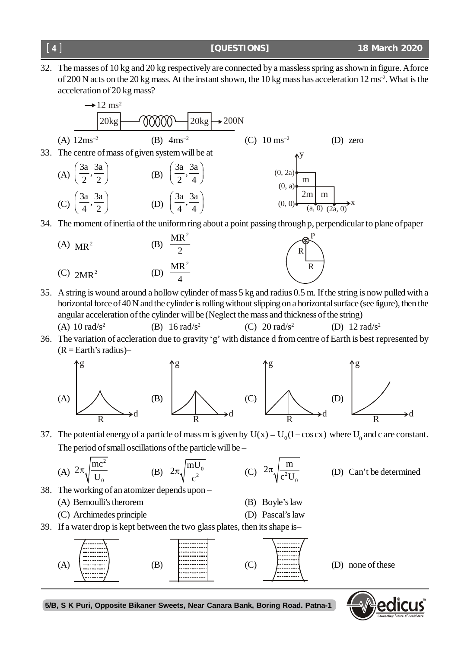32. The masses of 10 kg and 20 kg respectively are connected by a massless spring as shown in figure. A force of 200 N acts on the 20 kg mass. At the instant shown, the 10 kg mass has acceleration  $12 \text{ ms}^{-2}$ . What is the acceleration of 20 kg mass?



34. The moment of inertia of the uniform ring about a point passing through p, perpendicular to plane of paper

- (A)  $MR^2$  $MR^2$ 2 P R R (C)  $2MR^2$  (D)  $MR^2$ 4
- 35. A string is wound around a hollow cylinder of mass 5 kg and radius 0.5 m. If the string is now pulled with a horizontal force of 40 N and the cylinder is rolling without slipping on a horizontal surface (see figure), then the angular acceleration of the cylinder will be (Neglect the mass and thickness of the string) (A)  $10 \text{ rad/s}^2$ (B)  $16$  rad/s<sup>2</sup> (C) 20  $\text{rad/s}^2$ (D)  $12 \text{ rad/s}^2$
- 36. The variation of accleration due to gravity 'g' with distance d from centre of Earth is best represented by  $(R = Earth's radius)$



37. The potential energy of a particle of mass m is given by  $U(x) = U_0(1 - \cos cx)$  where  $U_0$  and c are constant. The period of small oscillations of the particle will be –

(A) 
$$
2\pi \sqrt{\frac{mc^2}{U_0}}
$$
 (B)  $2\pi \sqrt{\frac{mU_0}{c^2}}$  (C)  $2\pi \sqrt{\frac{m}{c^2 U_0}}$ 

(D) Can't be determined

- 38. The working of an atomizer depends upon
	- (A) Bernoulli's therorem (B) Boyle's law
	- (C) Archimedes principle (D) Pascal's law
- 
- 

- -
- 39. If a water drop is kept between the two glass plates, then its shape is–



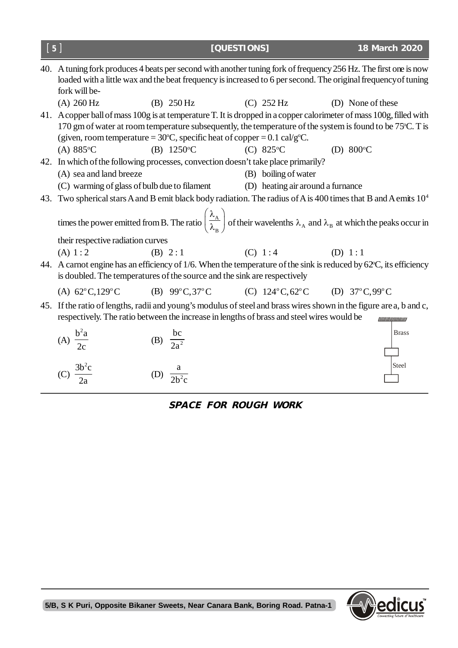| [5] |                                                                                                                                                                  |                       | [QUESTIONS]                                                                                                                                                                                                                        | 18 March 2020                                                                                                                                                                                                                    |  |
|-----|------------------------------------------------------------------------------------------------------------------------------------------------------------------|-----------------------|------------------------------------------------------------------------------------------------------------------------------------------------------------------------------------------------------------------------------------|----------------------------------------------------------------------------------------------------------------------------------------------------------------------------------------------------------------------------------|--|
|     | fork will be-                                                                                                                                                    |                       | 40. A tuning fork produces 4 beats per second with another tuning fork of frequency 256 Hz. The first one is now<br>loaded with a little wax and the beat frequency is increased to 6 per second. The original frequency of tuning |                                                                                                                                                                                                                                  |  |
|     | $(A)$ 260 Hz                                                                                                                                                     | $(B)$ 250 Hz          | (C) 252 Hz                                                                                                                                                                                                                         | (D) None of these                                                                                                                                                                                                                |  |
|     |                                                                                                                                                                  |                       | (given, room temperature = $30^{\circ}$ C, specific heat of copper = 0.1 cal/g <sup>o</sup> C.                                                                                                                                     | 41. A copper ball of mass 100g is at temperature T. It is dropped in a copper calorimeter of mass 100g, filled with<br>170 gm of water at room temperature subsequently, the temperature of the system is found to be 75°C. T is |  |
|     | (A) $885^{\circ}$ C                                                                                                                                              | (B) $1250^{\circ}$ C  | (C) $825^{\circ}$ C                                                                                                                                                                                                                | (D) $800^{\circ}$ C                                                                                                                                                                                                              |  |
|     |                                                                                                                                                                  |                       | 42. In which of the following processes, convection doesn't take place primarily?                                                                                                                                                  |                                                                                                                                                                                                                                  |  |
|     | (A) sea and land breeze                                                                                                                                          |                       | (B) boiling of water                                                                                                                                                                                                               |                                                                                                                                                                                                                                  |  |
|     | (C) warming of glass of bulb due to filament                                                                                                                     |                       | (D) heating air around a furnance                                                                                                                                                                                                  |                                                                                                                                                                                                                                  |  |
| 43. |                                                                                                                                                                  |                       | Two spherical stars A and B emit black body radiation. The radius of A is 400 times that B and A emits $10^4$                                                                                                                      |                                                                                                                                                                                                                                  |  |
|     | times the power emitted from B. The ratio $\left(\frac{\lambda_A}{\lambda_B}\right)$ of their wavelenths $\lambda_A$ and $\lambda_B$ at which the peaks occur in |                       |                                                                                                                                                                                                                                    |                                                                                                                                                                                                                                  |  |
|     | their respective radiation curves                                                                                                                                |                       |                                                                                                                                                                                                                                    |                                                                                                                                                                                                                                  |  |
|     | (A) 1:2                                                                                                                                                          | (B) $2:1$             | (C) 1:4                                                                                                                                                                                                                            | (D) $1:1$                                                                                                                                                                                                                        |  |
|     |                                                                                                                                                                  |                       | 44. A carnot engine has an efficiency of 1/6. When the temperature of the sink is reduced by 62°C, its efficiency<br>is doubled. The temperatures of the source and the sink are respectively                                      |                                                                                                                                                                                                                                  |  |
|     | (A) $62^{\circ}$ C, 129 $^{\circ}$ C                                                                                                                             |                       | (B) $99^{\circ}C,37^{\circ}C$ (C) $124^{\circ}C,62^{\circ}C$ (D) $37^{\circ}C,99^{\circ}C$                                                                                                                                         |                                                                                                                                                                                                                                  |  |
|     |                                                                                                                                                                  |                       | 45. If the ratio of lengths, radii and young's modulus of steel and brass wires shown in the figure are a, b and c,<br>respectively. The ratio between the increase in lengths of brass and steel wires would be                   | <b>ШШШШШШ</b>                                                                                                                                                                                                                    |  |
|     | (A) $\frac{b^2a}{2c}$                                                                                                                                            | (B) $\frac{bc}{2a^2}$ |                                                                                                                                                                                                                                    | <b>Brass</b>                                                                                                                                                                                                                     |  |
|     | $\frac{3b^2c}{2}$                                                                                                                                                | (D) $\frac{a}{2b^2c}$ |                                                                                                                                                                                                                                    | Steel                                                                                                                                                                                                                            |  |

## *SPACE FOR ROUGH WORK*

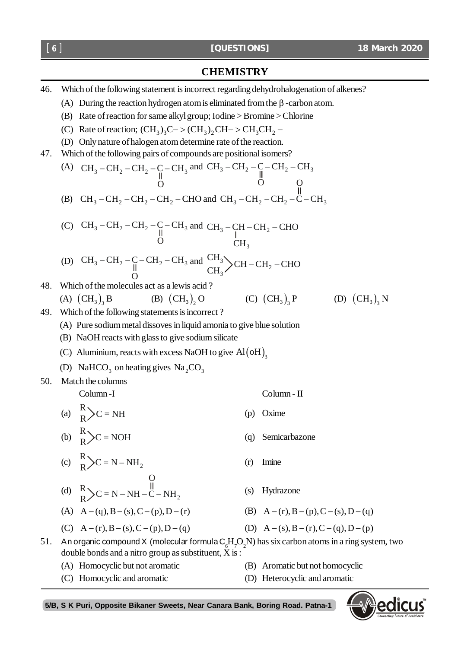### **CHEMISTRY**

- 46. Which of the following statement is incorrect regarding dehydrohalogenation of alkenes?
	- (A) During the reaction hydrogen atom is eliminated from the  $\beta$ -carbon atom.
	- (B) Rate of reaction for same alkyl group; Iodine > Bromine > Chlorine
	- (C) Rate of reaction;  $(CH_3)_3C \rightarrow (CH_3)_2CH \rightarrow CH_3CH_2$  –
	- (D) Only nature of halogen atom determine rate of the reaction.
- 47. Which of the following pairs of compounds are positional isomers?
	- (A)  $CH_3-CH_2-CH_2-CH_2-CH_3$ O and  $CH_3-CH_2-CH_2-CH_2-CH_3$ O  $\overline{O}$

(B) 
$$
CH_3-CH_2-CH_2-CH_2-CHO
$$
 and  $CH_3-CH_2-CH_2-CH_2-CH_3$ 

(C) 
$$
CH_3 - CH_2 - CH_2 - C - CH_3
$$
 and  $CH_3 - CH - CH_2 -CHO$   
\n
$$
\begin{array}{c}\n1 \\
0 \\
CH_3\n\end{array}
$$

(D) 
$$
CH_3 - CH_2 - C - CH_2 - CH_3
$$
 and  $CH_3$   
  $CH_3$   $CH - CH_2 - CH_2$  –CHO

- 48. Which of the molecules act as a lewis acid ?  $(A)$   $(CH_3)$ <sub>2</sub>  $B$  $(B)$   $(CH_3)$ , O  $CH_3$ )<sub>2</sub> O (C)  $(CH_3)_{3}P$  (D)  $(CH_3)_{3}N$
- 49. Which of the following statements is incorrect ?
	- (A) Pure sodium metal dissoves in liquid amonia to give blue solution
	- (B) NaOH reacts with glass to give sodium silicate
	- (C) Aluminium, reacts with excess NaOH to give  $\text{Al}(OH)_{3}$
	- (D) NaHCO<sub>3</sub> on heating gives  $\text{Na}_2\text{CO}_3$
- 50. Match the columns

Column -I Column - II

- (a)  $\frac{R}{R}$   $\bigg\}$  C = NH R (p) Oxime
- (b)  $\frac{R}{R}$   $\bigg\}C = \text{NOH}$ R (q) Semicarbazone
- (c)  $\frac{R}{R}$   $\bigg\}C = N NH_2$ R (r) Imine  $\ddot{\mathrm{o}}$

double bonds and a nitro group as substituent, X is :

- (d)  $\frac{R}{R}$   $\bigg\}$  C = N NH C NH<sub>2</sub> R R
- (A)  $A (q), B (s), C (p), D (r)$  (B)  $A (r), B (p), C (s), D (q)$
- (C)  $A (r), B (s), C (p), D (q)$  (D)  $A (s), B (r), C (q), D (p)$ 
	-

(s) Hydrazone

(A) Homocyclic but not aromatic (B) Aromatic but not homocyclic

51. An organic compound X (molecular formula  $C<sub>g</sub>H<sub>z</sub>O<sub>z</sub>N$ ) has six carbon atoms in a ring system, two

- (C) Homocyclic and aromatic (D) Heterocyclic and aromatic
- -

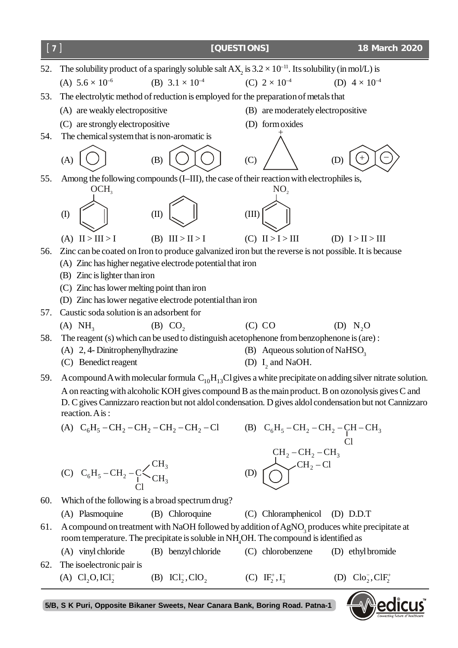| [7] |                                                                                                                                                                                                                                   | [QUESTIONS]                                                                               | 18 March 2020                     |  |  |
|-----|-----------------------------------------------------------------------------------------------------------------------------------------------------------------------------------------------------------------------------------|-------------------------------------------------------------------------------------------|-----------------------------------|--|--|
| 52. | The solubility product of a sparingly soluble salt AX, is $3.2 \times 10^{-11}$ . Its solubility (in mol/L) is                                                                                                                    |                                                                                           |                                   |  |  |
|     | (A) $5.6 \times 10^{-6}$<br>(B) $3.1 \times 10^{-4}$                                                                                                                                                                              | (C) $2 \times 10^{-4}$                                                                    | (D) $4 \times 10^{-4}$            |  |  |
| 53. | The electrolytic method of reduction is employed for the preparation of metals that                                                                                                                                               |                                                                                           |                                   |  |  |
|     | (A) are weakly electropositive                                                                                                                                                                                                    | (B) are moderately electropositive                                                        |                                   |  |  |
|     | (C) are strongly electropositive                                                                                                                                                                                                  | (D) form oxides                                                                           |                                   |  |  |
| 54. | The chemical system that is non-aromatic is                                                                                                                                                                                       |                                                                                           |                                   |  |  |
|     | (A)<br>(B)                                                                                                                                                                                                                        | (C)                                                                                       |                                   |  |  |
| 55. | Among the following compounds (I–III), the case of their reaction with electrophiles is,<br>NO <sub>2</sub><br>OCH <sub>3</sub>                                                                                                   |                                                                                           |                                   |  |  |
|     | $\rm(D)$<br>(II)                                                                                                                                                                                                                  | (III)                                                                                     |                                   |  |  |
|     | $(A)$ $II > III > I$<br>(B) $III > II > I$                                                                                                                                                                                        | $(C)$ II > I > III                                                                        | (D) $I > II > III$                |  |  |
| 56. | Zinc can be coated on Iron to produce galvanized iron but the reverse is not possible. It is because                                                                                                                              |                                                                                           |                                   |  |  |
|     | (A) Zinc has higher negative electrode potential that iron                                                                                                                                                                        |                                                                                           |                                   |  |  |
|     | (B) Zinc is lighter than iron                                                                                                                                                                                                     |                                                                                           |                                   |  |  |
|     | (C) Zinc has lower melting point than iron<br>(D) Zinc has lower negative electrode potential than iron                                                                                                                           |                                                                                           |                                   |  |  |
| 57. | Caustic soda solution is an adsorbent for                                                                                                                                                                                         |                                                                                           |                                   |  |  |
|     | $(A)$ NH <sub>3</sub><br>$(B)$ CO <sub>2</sub>                                                                                                                                                                                    | $(C)$ CO                                                                                  | $(D)$ N <sub>2</sub> O            |  |  |
| 58. | The reagent (s) which can be used to distinguish acetophenone from benzophenone is (are):                                                                                                                                         |                                                                                           |                                   |  |  |
|     | (A) 2, 4- Dinitrophenylhydrazine                                                                                                                                                                                                  | (B) Aqueous solution of NaHSO <sub>3</sub>                                                |                                   |  |  |
|     | (C) Benedict reagent                                                                                                                                                                                                              | (D) $I_2$ and NaOH.                                                                       |                                   |  |  |
| 59. | A compound A with molecular formula $C_{10}H_{13}Cl$ gives a white precipitate on adding silver nitrate solution.                                                                                                                 |                                                                                           |                                   |  |  |
|     | A on reacting with alcoholic KOH gives compound B as the main product. B on ozonolysis gives C and<br>D. C gives Cannizzaro reaction but not aldol condensation. D gives aldol condensation but not Cannizzaro<br>reaction. A is: |                                                                                           |                                   |  |  |
|     | (A) $C_6H_5-CH_2-CH_2-CH_2-CH_2-CH_2-Cl$                                                                                                                                                                                          | (B) $C_6H_5-CH_2-CH_2-CH-CH_3$                                                            |                                   |  |  |
|     | (C) $C_6H_5-CH_2-\frac{C}{C}$ $C_1$ $CH_3$                                                                                                                                                                                        | (D) $\overline{CH_2-CH_2-CH_3}$<br>(D) $\overline{CH_2-Cl}$                               |                                   |  |  |
| 60. | Which of the following is a broad spectrum drug?                                                                                                                                                                                  |                                                                                           |                                   |  |  |
|     | (A) Plasmoquine<br>(B) Chloroquine                                                                                                                                                                                                | (C) Chloramphenicol (D) D.D.T                                                             |                                   |  |  |
| 61. | A compound on treatment with NaOH followed by addition of AgNO <sub>3</sub> produces white precipitate at<br>room temperature. The precipitate is soluble in NH <sub>4</sub> OH. The compound is identified as                    |                                                                                           |                                   |  |  |
|     | (A) vinyl chloride<br>(B) benzyl chloride                                                                                                                                                                                         | (C) chlorobenzene                                                                         | (D) ethyl bromide                 |  |  |
| 62. | The isoelectronic pair is<br>(A) $Cl_2O,~ICl_2^-$                                                                                                                                                                                 | (B) ICl <sub>2</sub> , ClO <sub>2</sub> (C) IF <sub>2</sub> <sup>+</sup> , I <sub>3</sub> | (D) $Clo_{2}^{-}$ , $ClF_{2}^{+}$ |  |  |
|     |                                                                                                                                                                                                                                   |                                                                                           |                                   |  |  |

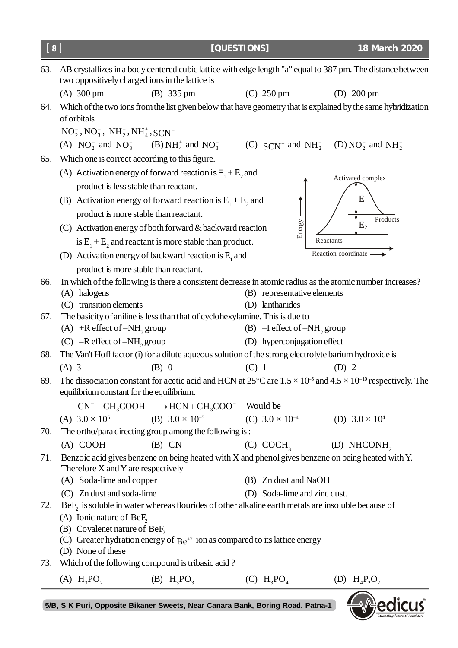|     | [QUESTIONS]<br>8]                                                                                                                                                                     |                                  | 18 March 2020              |
|-----|---------------------------------------------------------------------------------------------------------------------------------------------------------------------------------------|----------------------------------|----------------------------|
| 63. | AB crystallizes in a body centered cubic lattice with edge length "a" equal to 387 pm. The distance between<br>two oppositively charged ions in the lattice is                        |                                  |                            |
|     | $(A)$ 300 pm<br>(B) $335 \text{ pm}$                                                                                                                                                  | $(C)$ 250 pm                     | (D) $200 \text{ pm}$       |
| 64. | Which of the two ions from the list given below that have geometry that is explained by the same hybridization                                                                        |                                  |                            |
|     | of orbitals                                                                                                                                                                           |                                  |                            |
|     | $NO_2^-, NO_3^-, NH_2^-, NH_4^+,SCN^-$                                                                                                                                                |                                  |                            |
|     | (A) NO <sub>2</sub> and NO <sub>3</sub> (B) NH <sub>4</sub> and NO <sub>3</sub> (C) SCN <sup>-</sup> and NH <sub>2</sub> (D) NO <sub>2</sub> and NH <sub>2</sub>                      |                                  |                            |
| 65. | Which one is correct according to this figure.                                                                                                                                        |                                  |                            |
|     | (A) Activation energy of forward reaction is $E_1 + E_2$ and                                                                                                                          |                                  |                            |
|     | product is less stable than reactant.                                                                                                                                                 |                                  | Activated complex          |
|     | (B) Activation energy of forward reaction is $E_1 + E_2$ and                                                                                                                          |                                  | $E_1$                      |
|     | product is more stable than reactant.                                                                                                                                                 |                                  |                            |
|     | (C) Activation energy of both forward & backward reaction                                                                                                                             | Energy                           | Products<br>E <sub>2</sub> |
|     |                                                                                                                                                                                       | Reactants                        |                            |
|     | is $E_1 + E_2$ and reactant is more stable than product.                                                                                                                              |                                  | Reaction coordinate -      |
|     | (D) Activation energy of backward reaction is $E_1$ and                                                                                                                               |                                  |                            |
|     | product is more stable than reactant.<br>In which of the following is there a consistent decrease in atomic radius as the atomic number increases?                                    |                                  |                            |
| 66. | (A) halogens                                                                                                                                                                          | (B) representative elements      |                            |
|     | (C) transition elements                                                                                                                                                               | (D) lanthanides                  |                            |
| 67. | The basicity of aniline is less than that of cyclohexylamine. This is due to                                                                                                          |                                  |                            |
|     | (A) +R effect of $-NH$ , group                                                                                                                                                        | (B) $-I$ effect of $-NH$ , group |                            |
|     | (C) $-R$ effect of $-NH$ , group                                                                                                                                                      | (D) hyperconjugation effect      |                            |
| 68. | The Van't Hoff factor (i) for a dilute aqueous solution of the strong electrolyte barium hydroxide is                                                                                 |                                  |                            |
|     | $(A)$ 3<br>$(B)$ 0                                                                                                                                                                    | $(C)$ 1                          | $(D)$ 2                    |
| 69. | The dissociation constant for acetic acid and HCN at $25^{\circ}$ C are $1.5 \times 10^{-5}$ and $4.5 \times 10^{-10}$ respectively. The<br>equilibrium constant for the equilibrium. |                                  |                            |
|     | $CN^- + CH_3COOH \longrightarrow HCN + CH_3COO^-$ Would be                                                                                                                            |                                  |                            |
|     | (B) $3.0 \times 10^{-5}$<br>(A) $3.0 \times 10^5$                                                                                                                                     | (C) $3.0 \times 10^{-4}$         | (D) $3.0 \times 10^4$      |
| 70. | The ortho/para directing group among the following is:                                                                                                                                |                                  |                            |
|     | $(A)$ COOH<br>$(B)$ CN                                                                                                                                                                | $(C)$ COCH <sub>3</sub>          | (D) NHCONH <sub>2</sub>    |
| 71. | Benzoic acid gives benzene on being heated with X and phenol gives benzene on being heated with Y.                                                                                    |                                  |                            |
|     | Therefore X and Y are respectively                                                                                                                                                    |                                  |                            |
|     | (A) Soda-lime and copper                                                                                                                                                              | (B) Zn dust and NaOH             |                            |
|     | (C) Zn dust and soda-lime                                                                                                                                                             | (D) Soda-lime and zinc dust.     |                            |
| 72. | $BeF2$ is soluble in water whereas flourides of other alkaline earth metals are insoluble because of                                                                                  |                                  |                            |
|     | (A) Ionic nature of Be $F_2$                                                                                                                                                          |                                  |                            |
|     | (B) Covalenet nature of BeF,                                                                                                                                                          |                                  |                            |
|     | (C) Greater hydration energy of $Be^{+2}$ ion as compared to its lattice energy<br>(D) None of these                                                                                  |                                  |                            |
| 73. | Which of the following compound is tribasic acid?                                                                                                                                     |                                  |                            |
|     |                                                                                                                                                                                       |                                  |                            |
|     | (A) $H_3PO_2$<br>(B) $H_3PO_3$                                                                                                                                                        | (C) $H_3PO_4$                    | $H_4P_2O_7$<br>(D)         |
|     |                                                                                                                                                                                       |                                  |                            |

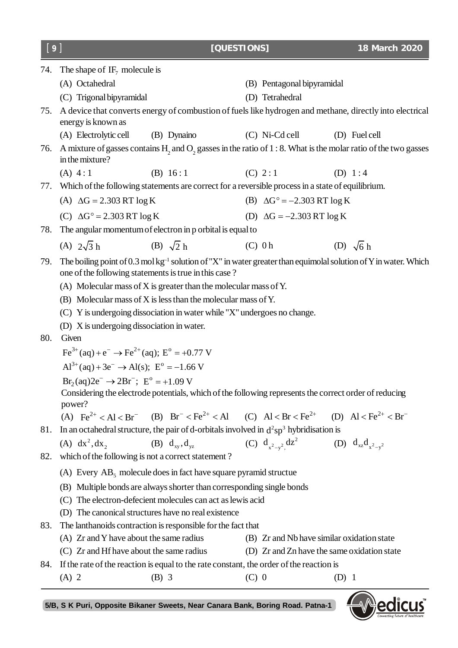| 9   |                                                                                                                                                                                       | [QUESTIONS] |                                             | 18 March 2020                               |
|-----|---------------------------------------------------------------------------------------------------------------------------------------------------------------------------------------|-------------|---------------------------------------------|---------------------------------------------|
| 74. | The shape of $IF_7$ molecule is                                                                                                                                                       |             |                                             |                                             |
|     | (A) Octahedral                                                                                                                                                                        |             | (B) Pentagonal bipyramidal                  |                                             |
|     | (C) Trigonal bipyramidal                                                                                                                                                              |             | (D) Tetrahedral                             |                                             |
| 75. | A device that converts energy of combustion of fuels like hydrogen and methane, directly into electrical                                                                              |             |                                             |                                             |
|     | energy is known as                                                                                                                                                                    |             |                                             |                                             |
|     | (A) Electrolytic cell<br>(B) Dynaino                                                                                                                                                  |             | $(C)$ Ni-Cd cell                            | (D) Fuel cell                               |
| 76. | A mixture of gasses contains H, and O, gasses in the ratio of 1 : 8. What is the molar ratio of the two gasses<br>in the mixture?                                                     |             |                                             |                                             |
|     | (A) 4:1<br>(B) $16:1$                                                                                                                                                                 |             | (C) 2:1                                     | (D) $1:4$                                   |
| 77. | Which of the following statements are correct for a reversible process in a state of equilibrium.                                                                                     |             |                                             |                                             |
|     | (A) $\Delta G = 2.303$ RT $\log K$                                                                                                                                                    |             | (B) $\Delta G^{\circ} = -2.303$ RT $\log K$ |                                             |
|     | (C) $\Delta G^{\circ} = 2.303 \text{ RT} \log K$                                                                                                                                      |             | (D) $\Delta G = -2.303$ RT $\log K$         |                                             |
| 78. | The angular momentum of electron in p orbital is equal to                                                                                                                             |             |                                             |                                             |
|     | (B) $\sqrt{2}$ h<br>(A) $2\sqrt{3} h$                                                                                                                                                 |             | $(C)$ 0 h                                   | (D) $\sqrt{6}$ h                            |
| 79. | The boiling point of $0.3 \text{ mol kg}^{-1}$ solution of "X" in water greater than equimolal solution of Y in water. Which<br>one of the following statements is true in this case? |             |                                             |                                             |
|     | (A) Molecular mass of X is greater than the molecular mass of Y.                                                                                                                      |             |                                             |                                             |
|     | (B) Molecular mass of X is less than the molecular mass of Y.                                                                                                                         |             |                                             |                                             |
|     | (C) Y is undergoing dissociation in water while "X" undergoes no change.                                                                                                              |             |                                             |                                             |
|     | (D) X is undergoing dissociation in water.                                                                                                                                            |             |                                             |                                             |
| 80. | Given                                                                                                                                                                                 |             |                                             |                                             |
|     | $\text{Fe}^{3+}(\text{aq}) + \text{e}^{-} \rightarrow \text{Fe}^{2+}(\text{aq})$ ; $\text{E}^{\text{o}} = +0.77 \text{ V}$                                                            |             |                                             |                                             |
|     | $Al^{3+}(aq) + 3e^{-} \rightarrow Al(s); E^{o} = -1.66 V$                                                                                                                             |             |                                             |                                             |
|     | $Br_2(aq)2e^- \rightarrow 2Br^-$ ; $E^{\circ} = +1.09 \text{ V}$                                                                                                                      |             |                                             |                                             |
|     | Considering the electrode potentials, which of the following represents the correct order of reducing<br>power?                                                                       |             |                                             |                                             |
|     | (A) $Fe^{2+} < Al < Br^{-}$ (B) $Br^{-} < Fe^{2+} < Al$ (C) $Al < Br < Fe^{2+}$ (D) $Al < Fe^{2+} < Br^{-}$                                                                           |             |                                             |                                             |
| 81. | In an octahedral structure, the pair of d-orbitals involved in $d^2sp^3$ hybridisation is                                                                                             |             |                                             |                                             |
|     | (B) $d_{xy}$ , $d_{yz}$<br>(A) $dx^2$ , $dx_2$                                                                                                                                        |             | (C) $d_{x^2-y^2} dz^2$                      | (D) $d_{xz}d_{x^2-y^2}$                     |
| 82. | which of the following is not a correct statement?                                                                                                                                    |             |                                             |                                             |
|     | (A) Every $AB_5$ molecule does in fact have square pyramid structue                                                                                                                   |             |                                             |                                             |
|     | (B) Multiple bonds are always shorter than corresponding single bonds                                                                                                                 |             |                                             |                                             |
|     | (C) The electron-defecient molecules can act as lewis acid                                                                                                                            |             |                                             |                                             |
|     | (D) The canonical structures have no real existence                                                                                                                                   |             |                                             |                                             |
| 83. | The lanthanoids contraction is responsible for the fact that                                                                                                                          |             |                                             |                                             |
|     | (A) Zr and Y have about the same radius                                                                                                                                               |             | (B) Zr and Nb have similar oxidation state  |                                             |
|     | (C) Zr and Hf have about the same radius                                                                                                                                              |             |                                             | (D) Zr and Zn have the same oxidation state |
| 84. | If the rate of the reaction is equal to the rate constant, the order of the reaction is                                                                                               |             |                                             |                                             |
|     | $(A)$ 2<br>$(B)$ 3                                                                                                                                                                    | $(C)$ 0     |                                             | $(D)$ 1                                     |

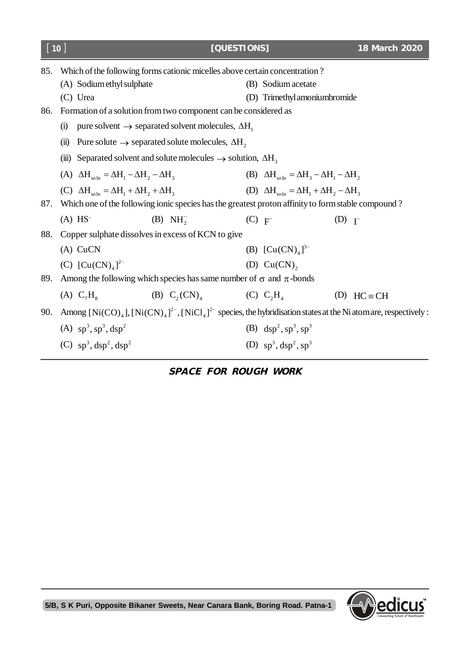|     | $\lfloor 10 \rfloor$                                                                                                  | [QUESTIONS]                                                         | 18 March 2020      |
|-----|-----------------------------------------------------------------------------------------------------------------------|---------------------------------------------------------------------|--------------------|
| 85. | Which of the following forms cationic micelles above certain concentration?                                           |                                                                     |                    |
|     | (A) Sodium ethyl sulphate                                                                                             | (B) Sodium acetate                                                  |                    |
|     | (C) Urea                                                                                                              | (D) Trimethyl amoniumbromide                                        |                    |
| 86. | Formation of a solution from two component can be considered as                                                       |                                                                     |                    |
|     | pure solvent $\rightarrow$ separated solvent molecules, $\Delta H_1$<br>(i)                                           |                                                                     |                    |
|     | Pure solute $\rightarrow$ separated solute molecules, $\Delta H_2$<br>(ii)                                            |                                                                     |                    |
|     | (iii) Separated solvent and solute molecules $\rightarrow$ solution, $\Delta H_3$                                     |                                                                     |                    |
|     | (A) $\Delta H_{\text{soln}} = \Delta H_1 - \Delta H_2 - \Delta H_3$                                                   | (B) $\Delta H_{\text{so}} = \Delta H_3 - \Delta H_1 - \Delta H_2$   |                    |
|     | (C) $\Delta H_{\text{soln}} = \Delta H_1 + \Delta H_2 + \Delta H_3$                                                   | (D) $\Delta H_{\text{soln}} = \Delta H_1 + \Delta H_2 - \Delta H_3$ |                    |
| 87. | Which one of the following ionic species has the greatest proton affinity to form stable compound?                    |                                                                     |                    |
|     | $(A)$ HS <sup>-</sup><br>$(B) NH_2^-$                                                                                 | $(C)$ F                                                             | $(D)$ $I^-$        |
| 88. | Copper sulphate dissolves in excess of KCN to give                                                                    |                                                                     |                    |
|     | (A) CuCN                                                                                                              | (B) $[Cu(CN)4]3-$                                                   |                    |
|     | (C) $[Cu(CN)4$ <sup>2-</sup>                                                                                          | (D) $Cu(CN)$ ,                                                      |                    |
| 89. | Among the following which species has same number of $\sigma$ and $\pi$ -bonds                                        |                                                                     |                    |
|     | (B) $C_2(CN)_4$ (C) $C_2H_4$<br>(A) $C_7H_8$                                                                          |                                                                     | (D) HC $\equiv$ CH |
|     | 90. Among $[Ni(CO)4$ , $[Ni(CN)4]2$ , $[NiCl4]2$ species, the hybridisation states at the Ni atom are, respectively : |                                                                     |                    |
|     | (A) $sp^3, sp^3, dsp^2$                                                                                               | (B) $dsp^2, sp^3, sp^3$                                             |                    |
|     | $(C)$ sp <sup>3</sup> , dsp <sup>2</sup> , dsp <sup>2</sup>                                                           | (D) $sp^3$ , $dsp^2$ , $sp^3$                                       |                    |

## *SPACE FOR ROUGH WORK*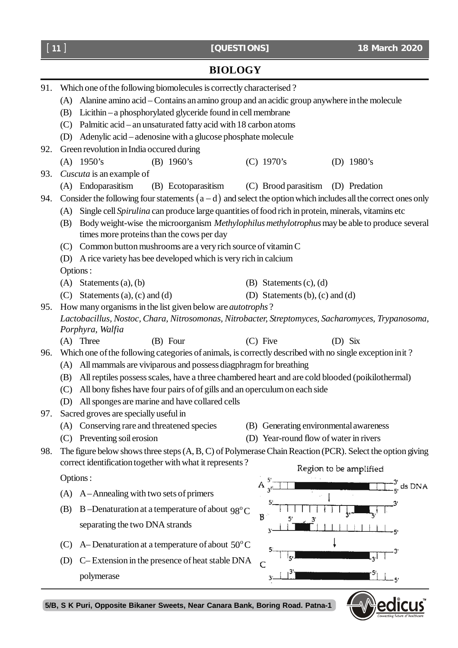## **BIOLOGY**

| 91. |                                                                                               | Which one of the following biomolecules is correctly characterised?                                                                                                         |                                        |                        |  |
|-----|-----------------------------------------------------------------------------------------------|-----------------------------------------------------------------------------------------------------------------------------------------------------------------------------|----------------------------------------|------------------------|--|
|     | (A) Alanine amino acid – Contains an amino group and an acidic group anywhere in the molecule |                                                                                                                                                                             |                                        |                        |  |
|     | Licithin – a phosphorylated glyceride found in cell membrane<br>(B)                           |                                                                                                                                                                             |                                        |                        |  |
|     | (C) Palmitic acid – an unsaturated fatty acid with 18 carbon atoms                            |                                                                                                                                                                             |                                        |                        |  |
|     |                                                                                               |                                                                                                                                                                             |                                        |                        |  |
|     |                                                                                               | (D) Adenylic acid – adenosine with a glucose phosphate molecule                                                                                                             |                                        |                        |  |
| 92. |                                                                                               | Green revolution in India occured during                                                                                                                                    |                                        |                        |  |
|     |                                                                                               | $(A)$ 1950's<br>(B) $1960's$                                                                                                                                                | $(C)$ 1970's                           | (D) $1980's$           |  |
| 93. |                                                                                               | Cuscuta is an example of                                                                                                                                                    |                                        |                        |  |
|     |                                                                                               | (A) Endoparasitism<br>(B) Ecotoparasitism                                                                                                                                   | (C) Brood parasitism (D) Predation     |                        |  |
| 94. |                                                                                               | Consider the following four statements $(a-d)$ and select the option which includes all the correct ones only                                                               |                                        |                        |  |
|     | (A)                                                                                           | Single cell Spirulina can produce large quantities of food rich in protein, minerals, vitamins etc                                                                          |                                        |                        |  |
|     | (B)                                                                                           | Body weight-wise the microorganism Methylophilus methylotrophus may be able to produce several                                                                              |                                        |                        |  |
|     |                                                                                               | times more proteins than the cows per day                                                                                                                                   |                                        |                        |  |
|     | (C)                                                                                           | Common button mushrooms are a very rich source of vitamin C                                                                                                                 |                                        |                        |  |
|     |                                                                                               | (D) A rice variety has bee developed which is very rich in calcium                                                                                                          |                                        |                        |  |
|     | Options:                                                                                      |                                                                                                                                                                             |                                        |                        |  |
|     | (A)                                                                                           | Statements $(a)$ , $(b)$                                                                                                                                                    | (B) Statements $(c)$ , $(d)$           |                        |  |
|     |                                                                                               | $(C)$ Statements $(a)$ , $(c)$ and $(d)$                                                                                                                                    | (D) Statements $(b)$ , $(c)$ and $(d)$ |                        |  |
| 95. |                                                                                               | How many organisms in the list given below are <i>autotrophs</i> ?                                                                                                          |                                        |                        |  |
|     |                                                                                               | Lactobacillus, Nostoc, Chara, Nitrosomonas, Nitrobacter, Streptomyces, Sacharomyces, Trypanosoma,                                                                           |                                        |                        |  |
|     |                                                                                               | Porphyra, Walfia                                                                                                                                                            |                                        |                        |  |
|     |                                                                                               | $(A)$ Three<br>(B) Four                                                                                                                                                     | $(C)$ Five                             | $(D)$ Six              |  |
| 96. |                                                                                               | Which one of the following categories of animals, is correctly described with no single exception in it?                                                                    |                                        |                        |  |
|     |                                                                                               | (A) All mammals are viviparous and possess diagphragm for breathing                                                                                                         |                                        |                        |  |
|     | (B)                                                                                           | All reptiles possess scales, have a three chambered heart and are cold blooded (poikilothermal)                                                                             |                                        |                        |  |
|     | (C)                                                                                           | All bony fishes have four pairs of of gills and an operculum on each side                                                                                                   |                                        |                        |  |
|     | (D)                                                                                           | All sponges are marine and have collared cells                                                                                                                              |                                        |                        |  |
| 97. |                                                                                               | Sacred groves are specially useful in                                                                                                                                       |                                        |                        |  |
|     | (A)                                                                                           | Conserving rare and threatened species                                                                                                                                      | (B) Generating environmental awareness |                        |  |
|     | (C)                                                                                           | Preventing soil erosion                                                                                                                                                     | (D) Year-round flow of water in rivers |                        |  |
| 98. |                                                                                               | The figure below shows three steps (A, B, C) of Polymerase Chain Reaction (PCR). Select the option giving                                                                   |                                        |                        |  |
|     |                                                                                               | correct identification together with what it represents?                                                                                                                    |                                        | Region to be amplified |  |
|     | Options:                                                                                      |                                                                                                                                                                             |                                        |                        |  |
|     |                                                                                               |                                                                                                                                                                             |                                        | $\int_{5'}$ ds DNA     |  |
|     |                                                                                               |                                                                                                                                                                             |                                        |                        |  |
|     |                                                                                               |                                                                                                                                                                             |                                        |                        |  |
|     |                                                                                               | separating the two DNA strands                                                                                                                                              |                                        |                        |  |
|     |                                                                                               |                                                                                                                                                                             |                                        |                        |  |
|     |                                                                                               |                                                                                                                                                                             |                                        |                        |  |
|     | (D)                                                                                           | C-Extension in the presence of heat stable DNA                                                                                                                              |                                        |                        |  |
|     |                                                                                               |                                                                                                                                                                             |                                        |                        |  |
|     | (A)<br>(B)<br>(C)                                                                             | A-Annealing with two sets of primers<br>B –Denaturation at a temperature of about $98^{\circ}$ C<br>A – Denaturation at a temperature of about $50^{\circ}$ C<br>polymerase | B<br>3<br>C                            |                        |  |



[ **11** ]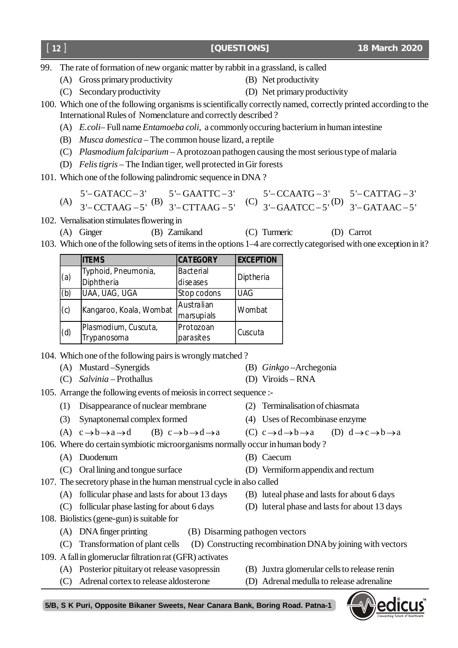- 99. The rate of formation of new organic matter by rabbit in a grassland, is called
	- (A) Gross primary productivity (B) Net productivity
	-
- 
- (C) Secondary productivity (D) Net primary productivity 100. Which one of the following organisms is scientifically correctly named, correctly printed according to the International Rules of Nomenclature and correctly described ?
	- (A) *E.coli–* Full name *Entamoeba coli,* a commonly occuring bacterium in human intestine
	- (B) *Musca domestica* The common house lizard, a reptile
	- (C) *Plasmodium falciparium* A protozoan pathogen causing the most serious type of malaria
	- (D) *Felis tigris* The Indian tiger, well protected in Gir forests
- 101. Which one of the following palindromic sequence in DNA ?
	- (A)  $5'-GATACC-3'$  $3'-CCTAAG-5'$  $-GATACC-3$  $-{\rm CCTAAG-5'}^{\rm (B)}$  $5'-GAATTC-3'$  $3'-CTTAAG-5'$  $-GAATTC-3$  $-CTTAAG - 5'$  (C)  $5'-CCAATG-3'$  $3'-GAATCC-5'$  $-{\rm CCAATG}-3$  $-GAATCC-5'^{(D)}$  $5'-CATTAG-3'$  $3'-GATAAC-5'$  $-CATTAG-3$  $-GATAAC - 5$
- 102. Vernalisation stimulates flowering in
	- (A) Ginger (B) Zamikand (C) Turmeric (D) Carrot
- 103. Which one of the following sets of items in the options 1–4 are correctly categorised with one exception in it?

|     | <b>ITEMS</b>            | <b>CATEGORY</b> | <b>EXCEPTION</b> |  |
|-----|-------------------------|-----------------|------------------|--|
|     | Typhoid, Pneumonia,     | Bacterial       |                  |  |
| (a) | Diphtheria              | diseases        | Diptheria        |  |
| (b) | UAA, UAG, UGA           | Stop codons     | <b>UAG</b>       |  |
| (c) | Kangaroo, Koala, Wombat | Australian      | Wombat           |  |
|     |                         | marsupials      |                  |  |
|     | Plasmodium, Cuscuta,    | Protozoan       | Cuscuta          |  |
| (d) | Trypanosoma             | parasites       |                  |  |

- 104. Which one of the following pairs is wrongly matched ?
	- (A) Mustard –Synergids (B) *Ginkgo –*Archegonia
		-
	- (C) *Salvinia* Prothallus (D) Viroids RNA
- 105. Arrange the following events of meiosis in correct sequence :-
	- (1) Disappearance of nuclear membrane (2) Terminalisation of chiasmata
	- (3) Synaptonemal complex formed (4) Uses of Recombinase enzyme
	- (A)  $c \rightarrow b \rightarrow a \rightarrow d$  (B)  $c \rightarrow b \rightarrow d \rightarrow a$  (C)  $c \rightarrow d \rightarrow b \rightarrow a$  (D)  $d \rightarrow c \rightarrow b \rightarrow a$
- 106. Where do certain symbiotic microorganisms normally occur in human body ?
	- (A) Duodenum (B) Caecum
	- (C) Oral lining and tongue surface (D) Vermiform appendix and rectum
- 107. The secretory phase in the human menstrual cycle in also called
	- (A) follicular phase and lasts for about 13 days (B) luteal phase and lasts for about 6 days
	- (C) follicular phase lasting for about 6 days (D) luteral phase and lasts for about 13 days
- 108. Biolistics (gene-gun) is suitable for
	- (A) DNA finger printing (B) Disarming pathogen vectors (C) Transformation of plant cells (D) Constructing recombination DNA by joining with vectors
- 109. A fall in glomeruclar filtration rat (GFR) activates
	- (A) Posterior pituitary ot release vasopressin (B) Juxtra glomerular cells to release renin
	-
- 
- (C) Adrenal cortex to release aldosterone (D) Adrenal medulla to release adrenaline



- - -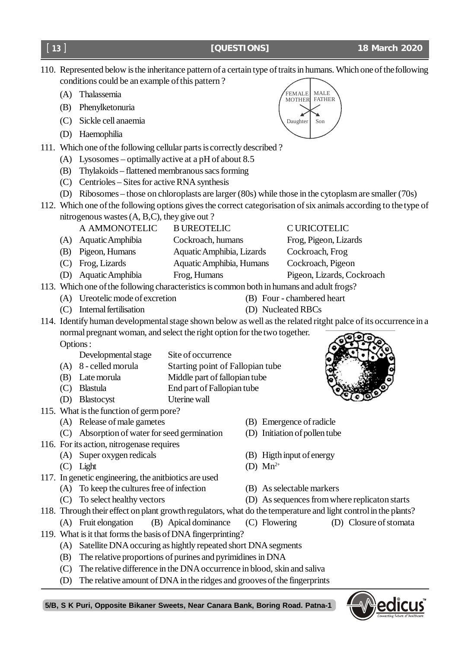110. Represented below is the inheritance pattern of a certain type of traits in humans. Which one of the following conditions could be an example of this pattern ?

- (A) Thalassemia
- (B) Phenylketonuria
- $(C)$  Sickle cell anaemia
- (D) Haemophilia
- 111. Which one of the following cellular parts is correctly described ?
	- (A) Lysosomes optimally active at a pH of about 8.5
	- (B) Thylakoids flattened membranous sacs forming
	- (C) Centrioles Sites for active RNA synthesis
	- (D) Ribosomes those on chloroplasts are larger (80s) while those in the cytoplasm are smaller (70s)
- 112. Which one of the following options gives the correct categorisation of six animals according to the type of nitrogenous wastes (A, B,C), they give out ?
	- A AMMONOTELIC B UREOTELIC C URICOTELIC
	- (A) Aquatic Amphibia Cockroach, humans Frog, Pigeon, Lizards
	- (B) Pigeon, Humans Aquatic Amphibia, Lizards Cockroach, Frog
	- (C) Frog, Lizards Aquatic Amphibia, Humans Cockroach, Pigeon
- (D) Aquatic Amphibia Frog, Humans Pigeon, Lizards, Cockroach 113. Which one of the following characteristics is common both in humans and adult frogs?
	- (A) Ureotelic mode of excretion (B) Four chambered heart
	- (C) Internal fertilisation (D) Nucleated RBCs
- 114. Identify human developmental stage shown below as well as the related ritght palce of its occurrence in a normal pregnant woman, and select the right option for the two together.
	- Options :
		- Developmental stage Site of occurrence
	- (A) 8 celled morula Starting point of Fallopian tube
	- (B) Late morula Middle part of fallopian tube
	- (C) Blastula End part of Fallopian tube
	- (D) Blastocyst Uterine wall
- 115. What is the function of germ pore?
	- (A) Release of male gametes (B) Emergence of radicle
	- (C) Absorption of water for seed germination (D) Initiation of pollen tube
- 116. For its action, nitrogenase requires
	- - (C) Light (D)  $Mn^{2+}$
- 117. In genetic engineering, the anitbiotics are used
	- (A) To keep the cultures free of infection (B) As selectable markers
	-
- 
- 
- (A) Super oxygen redicals (B) Higth input of energy
	-
	-
- (C) To select healthy vectors (D) As sequences from where replicaton starts
- 118. Through their effect on plant growth regulators, what do the temperature and light control in the plants? (A) Fruit elongation (B) Apical dominance (C) Flowering (D) Closure of stomata
- 119. What is it that forms the basis of DNA fingerprinting?
	- (A) Satellite DNA occuring as hightly repeated short DNA segments
	- (B) The relative proportions of purines and pyrimidines in DNA
	- (C) The relative difference in the DNA occurrence in blood, skin and saliva
	- (D) The relative amount of DNA in the ridges and grooves of the fingerprints









 **[QUESTIONS] 18 March 2020**

[ **13** ]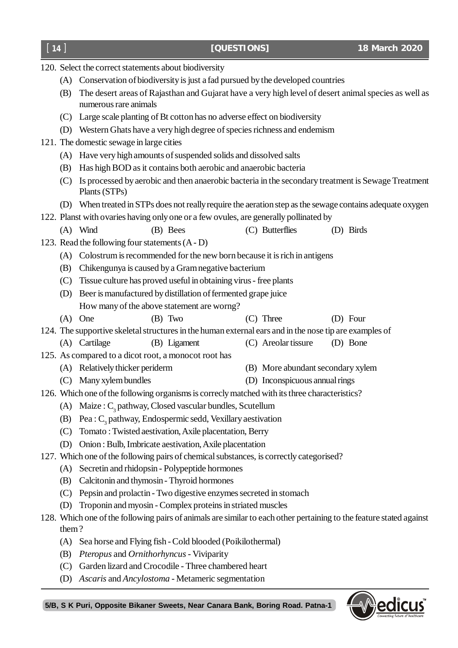| Conservation of biodiversity is just a fad pursued by the developed countries<br>(A) |                                                                              |                                                                                                           |                                   |  |           |  |
|--------------------------------------------------------------------------------------|------------------------------------------------------------------------------|-----------------------------------------------------------------------------------------------------------|-----------------------------------|--|-----------|--|
| (B)                                                                                  | numerous rare animals                                                        | The desert areas of Rajasthan and Gujarat have a very high level of desert animal species as well as      |                                   |  |           |  |
|                                                                                      |                                                                              | (C) Large scale planting of Bt cotton has no adverse effect on biodiversity                               |                                   |  |           |  |
|                                                                                      |                                                                              | (D) Western Ghats have a very high degree of species richness and endemism                                |                                   |  |           |  |
|                                                                                      | 121. The domestic sewage in large cities                                     |                                                                                                           |                                   |  |           |  |
|                                                                                      |                                                                              | (A) Have very high amounts of suspended solids and dissolved salts                                        |                                   |  |           |  |
| (B)                                                                                  |                                                                              | Has high BOD as it contains both aerobic and anaerobic bacteria                                           |                                   |  |           |  |
| (C)                                                                                  | Plants (STPs)                                                                | Is processed by aerobic and then anaerobic bacteria in the secondary treatment is Sewage Treatment        |                                   |  |           |  |
|                                                                                      |                                                                              | (D) When treated in STPs does not really require the aeration step as the sewage contains adequate oxygen |                                   |  |           |  |
|                                                                                      |                                                                              | 122. Planst with ovaries having only one or a few ovules, are generally pollinated by                     |                                   |  |           |  |
|                                                                                      | $(A)$ Wind                                                                   | (B) Bees                                                                                                  | (C) Butterflies                   |  | (D) Birds |  |
|                                                                                      | 123. Read the following four statements (A - D)                              |                                                                                                           |                                   |  |           |  |
|                                                                                      | (A) Colostrum is recommended for the new born because it is rich in antigens |                                                                                                           |                                   |  |           |  |
| (B)                                                                                  |                                                                              | Chikengunya is caused by a Gram negative bacterium                                                        |                                   |  |           |  |
| (C)                                                                                  |                                                                              | Tissue culture has proved useful in obtaining virus - free plants                                         |                                   |  |           |  |
| (D)                                                                                  |                                                                              | Beer is manufactured by distillation of fermented grape juice                                             |                                   |  |           |  |
|                                                                                      |                                                                              | How many of the above statement are worng?                                                                |                                   |  |           |  |
|                                                                                      | $(A)$ One                                                                    | $(B)$ Two                                                                                                 | $(C)$ Three                       |  | (D) Four  |  |
|                                                                                      |                                                                              | 124. The supportive skeletal structures in the human external ears and in the nose tip are examples of    |                                   |  |           |  |
|                                                                                      | (A) Cartilage                                                                | (B) Ligament                                                                                              | (C) Areolar tissure               |  | (D) Bone  |  |
| 125. As compared to a dicot root, a monocot root has                                 |                                                                              |                                                                                                           |                                   |  |           |  |
|                                                                                      | (A) Relatively thicker periderm                                              |                                                                                                           | (B) More abundant secondary xylem |  |           |  |
|                                                                                      | (C) Many xylem bundles                                                       |                                                                                                           | (D) Inconspicuous annual rings    |  |           |  |
|                                                                                      |                                                                              | 126. Which one of the following organisms is correcly matched with its three characteristics?             |                                   |  |           |  |
|                                                                                      |                                                                              | (A) Maize: $C_3$ pathway, Closed vascular bundles, Scutellum                                              |                                   |  |           |  |
|                                                                                      |                                                                              | (B) Pea : $C_3$ pathway, Endospermic sedd, Vexillary aestivation                                          |                                   |  |           |  |
| (C)                                                                                  |                                                                              | Tomato: Twisted aestivation, Axile placentation, Berry                                                    |                                   |  |           |  |
| (D)                                                                                  |                                                                              | Onion: Bulb, Imbricate aestivation, Axile placentation                                                    |                                   |  |           |  |
|                                                                                      |                                                                              | 127. Which one of the following pairs of chemical substances, is correctly categorised?                   |                                   |  |           |  |
| (A)                                                                                  |                                                                              | Secretin and rhidopsin - Polypeptide hormones                                                             |                                   |  |           |  |
| (B)                                                                                  |                                                                              | Calcitonin and thymosin - Thyroid hormones                                                                |                                   |  |           |  |

- (C) Pepsin and prolactin Two digestive enzymes secreted in stomach
- (D) Troponin and myosin Complex proteins in striated muscles
- 128. Which one of the following pairs of animals are similar to each other pertaining to the feature stated against them ?
	- (A) Sea horse and Flying fish Cold blooded (Poikilothermal)
	- (B) *Pteropus* and *Ornithorhyncus* Viviparity
	- (C) Garden lizard and Crocodile Three chambered heart
	- (D) *Ascaris* and *Ancylostoma* Metameric segmentation



### [ **14** ]

120. Select the correct statements about biodiversity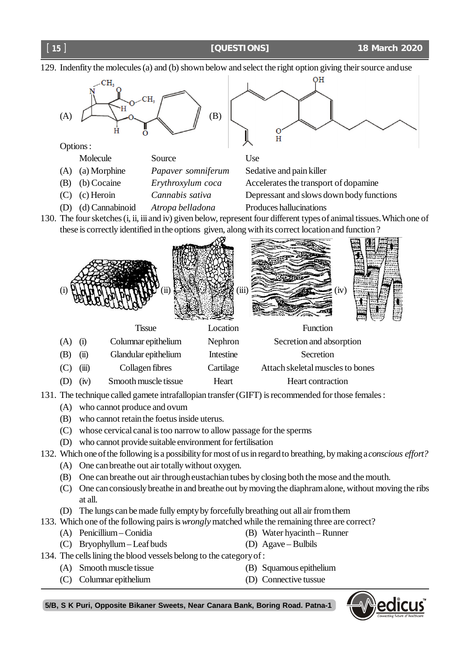129. Indenfity the molecules (a) and (b) shown below and select the right option giving their source and use



- Molecule Source Use (A) (a) Morphine *Papaver somniferum* Sedative and pain killer (B) (b) Cocaine *Erythroxylum coca* Accelerates the transport of dopamine (C) (c) Heroin *Cannabis sativa* Depressant and slows down body functions
- (D) (d) Cannabinoid *Atropa belladona* Produces hallucinations
- 130. The four sketches (i, ii, iii and iv) given below, represent four different types of animal tissues. Which one of these is correctly identified in the options given, along with its correct location and function ?



131. The technique called gamete intrafallopian transfer (GIFT) is recommended for those females :

- (A) who cannot produce and ovum
- (B) who cannot retain the foetus inside uterus.
- (C) whose cervical canal is too narrow to allow passage for the sperms
- (D) who cannot provide suitable environment for fertilisation

132. Which one of the following is a possibility for most of us in regard to breathing, by making a *conscious effort?*

- (A) One can breathe out air totally without oxygen.
- (B) One can breathe out air through eustachian tubes by closing both the mose and the mouth.
- (C) One can consiously breathe in and breathe out by moving the diaphram alone, without moving the ribs at all.
- (D) The lungs can be made fully empty by forcefully breathing out all air from them
- 133. Which one of the following pairs is *wrongly* matched while the remaining three are correct?
	- (A) Penicillium Conidia (B) Water hyacinth Runner
	- (C) Bryophyllum Leaf buds (D) Agave Bulbils
- 
- 134. The cells lining the blood vessels belong to the category of :
	- (A) Smooth muscle tissue (B) Squamous epithelium
		-
	- (C) Columnar epithelium (D) Connective tussue

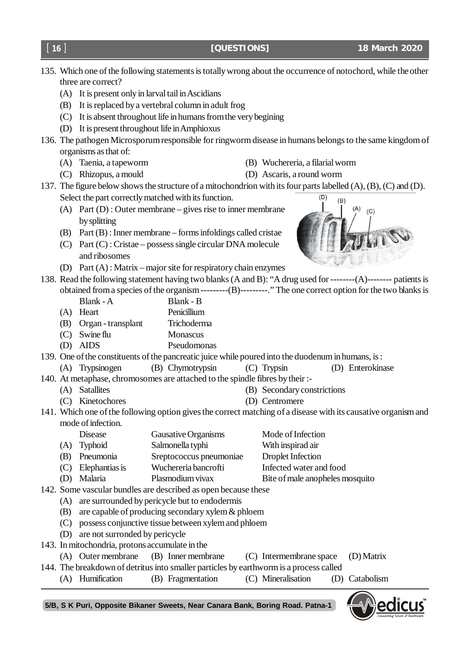|     | <b>Disease</b>                                  | Gausative Organisms                                                                    | Mode of Infection                     |  |
|-----|-------------------------------------------------|----------------------------------------------------------------------------------------|---------------------------------------|--|
| (A) | <b>Typhoid</b>                                  | Salmonella typhi                                                                       | With inspirad air                     |  |
| (B) | Pneumonia                                       | Sreptococcus pneumoniae                                                                | <b>Droplet Infection</b>              |  |
|     | Elephantias is                                  | Wuchereria bancrofti                                                                   | Infected water and food               |  |
|     | Malaria                                         | Plasmodium vivax                                                                       | Bite of male anopheles mosquito       |  |
|     |                                                 | 142. Some vascular bundles are described as open because these                         |                                       |  |
| (A) |                                                 | are surrounded by pericycle but to endodermis                                          |                                       |  |
| (B) |                                                 | are capable of producing secondary xylem & phloem                                      |                                       |  |
| (C) |                                                 | possess conjunctive tissue between xylem and phloem                                    |                                       |  |
| (D) | are not surronded by pericycle                  |                                                                                        |                                       |  |
|     | 143. In mitochondria, protons accumulate in the |                                                                                        |                                       |  |
|     | (A) Outer membrane                              | (B) Inner membrane                                                                     | (C) Intermembrane space<br>(D) Matrix |  |
|     |                                                 | 144. The breakdown of detritus into smaller particles by earthworm is a process called |                                       |  |
| (A) | Humification                                    | (B) Fragmentation                                                                      | (C) Mineralisation<br>(D) Catabolism  |  |
|     |                                                 |                                                                                        |                                       |  |
|     |                                                 | 5/B, S K Puri, Opposite Bikaner Sweets, Near Canara Bank, Boring Road. Patna-1         |                                       |  |

- 135. Which one of the following statements is totally wrong about the occurrence of notochord, while the other three are correct?
	- (A) It is present only in larval tail in Ascidians
	- (B) It is replaced by a vertebral column in adult frog
	- (C) It is absent throughout life in humans from the very begining
	- (D) It is present throughout life in Amphioxus

136. The pathogen Microsporum responsible for ringworm disease in humans belongs to the same kingdom of organisms as that of:

[ **16** ]

- (A) Taenia, a tapeworm (B) Wuchereria, a filarial worm
- (C) Rhizopus, a mould (D) Ascaris, a round worm

137. The figure below shows the structure of a mitochondrion with its four parts labelled (A), (B), (C) and (D). Select the part correctly matched with its function. (D)

- (A) Part (D) : Outer membrane gives rise to inner membrane by splitting
- (B) Part (B) : Inner membrane forms infoldings called cristae
- (C) Part (C) : Cristae possess single circular DNA molecule and ribosomes
- (D) Part (A) : Matrix major site for respiratory chain enzymes
- 138. Read the following statement having two blanks (A and B): "A drug used for --------(A)-------- patients is obtained from a species of the organism ---------(B)---------." The one correct option for the two blanks is
	- Blank A Blank B
	- (A) Heart Penicillium
	- (B) Organ transplant Trichoderma
	- (C) Swine flu Monascus
	- (D) AIDS Pseudomonas

139. One of the constituents of the pancreatic juice while poured into the duodenum in humans, is :

- (A) Trypsinogen (B) Chymotrypsin (C) Trypsin (D) Enterokinase
- 140. At metaphase, chromosomes are attached to the spindle fibres by their :-
	- (A) Satallites (B) Secondary constrictions
	- (C) Kinetochores (D) Centromere

141. Which one of the following option gives the correct matching of a disease with its causative organism and mode of infection.

- 
- 
- 
- 
- 
- 142. Some vascular bundles are described as open because these
	-
	-
	-
	-
- $143$ . In



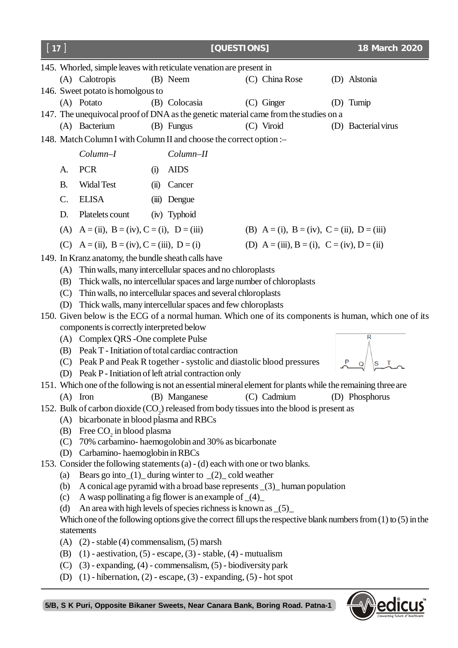| 17             |                                                                               |                                                                          | [QUESTIONS]                                                                                                  | 18 March 2020                                                                                                        |
|----------------|-------------------------------------------------------------------------------|--------------------------------------------------------------------------|--------------------------------------------------------------------------------------------------------------|----------------------------------------------------------------------------------------------------------------------|
|                | 145. Whorled, simple leaves with reticulate venation are present in           |                                                                          |                                                                                                              |                                                                                                                      |
|                | (A) Calotropis                                                                | (B) Neem                                                                 | (C) China Rose                                                                                               | (D) Alstonia                                                                                                         |
|                | 146. Sweet potato is homolgous to                                             |                                                                          |                                                                                                              |                                                                                                                      |
|                | (A) Potato                                                                    | (B) Colocasia                                                            | $(C)$ Ginger                                                                                                 | (D) Turnip                                                                                                           |
|                |                                                                               |                                                                          | 147. The unequivocal proof of DNA as the genetic material came from the studies on a                         |                                                                                                                      |
|                | (A) Bacterium                                                                 | (B) Fungus                                                               | (C) Viroid                                                                                                   | (D) Bacterial virus                                                                                                  |
|                | 148. Match Column I with Column II and choose the correct option :-           |                                                                          |                                                                                                              |                                                                                                                      |
|                | $Column-I$                                                                    | Column-II                                                                |                                                                                                              |                                                                                                                      |
| A.             | <b>PCR</b>                                                                    | <b>AIDS</b><br>(i)                                                       |                                                                                                              |                                                                                                                      |
| <b>B.</b>      | <b>Widal Test</b>                                                             | Cancer<br>(ii)                                                           |                                                                                                              |                                                                                                                      |
| $\mathbf{C}$ . | <b>ELISA</b>                                                                  | (iii)<br>Dengue                                                          |                                                                                                              |                                                                                                                      |
| D.             | Platelets count                                                               | (iv) Typhoid                                                             |                                                                                                              |                                                                                                                      |
|                | (A) $A = (ii)$ , $B = (iv)$ , $C = (i)$ , $D = (iii)$                         |                                                                          | (B) A = (i), B = (iv), C = (ii), D = (iii)                                                                   |                                                                                                                      |
|                | (C) $A = (ii)$ , $B = (iv)$ , $C = (iii)$ , $D = (i)$                         |                                                                          | (D) A = (iii), B = (i), C = (iv), D = (ii)                                                                   |                                                                                                                      |
|                | 149. In Kranz anatomy, the bundle sheath calls have                           |                                                                          |                                                                                                              |                                                                                                                      |
| (A)            |                                                                               | Thin walls, many intercellular spaces and no chloroplasts                |                                                                                                              |                                                                                                                      |
| (B)            |                                                                               |                                                                          | Thick walls, no intercellular spaces and large number of chloroplasts                                        |                                                                                                                      |
| (C)            |                                                                               | Thin walls, no intercellular spaces and several chloroplasts             |                                                                                                              |                                                                                                                      |
| (D)            |                                                                               | Thick walls, many intercellular spaces and few chloroplasts              |                                                                                                              |                                                                                                                      |
|                |                                                                               |                                                                          |                                                                                                              | 150. Given below is the ECG of a normal human. Which one of its components is human, which one of its                |
|                | components is correctly interpreted below                                     |                                                                          |                                                                                                              |                                                                                                                      |
|                | (A) Complex QRS - One complete Pulse                                          |                                                                          |                                                                                                              |                                                                                                                      |
| (B)            |                                                                               | Peak T - Initiation of total cardiac contraction                         |                                                                                                              |                                                                                                                      |
| (C)            |                                                                               |                                                                          | Peak P and Peak R together - systolic and diastolic blood pressures                                          | S<br>Q                                                                                                               |
|                | (D) Peak P - Initiation of left atrial contraction only                       |                                                                          |                                                                                                              |                                                                                                                      |
|                |                                                                               |                                                                          | 151. Which one of the following is not an essential mineral element for plants while the remaining three are |                                                                                                                      |
|                | $(A)$ Iron                                                                    | (B) Manganese                                                            | (C) Cadmium                                                                                                  | (D) Phosphorus                                                                                                       |
|                |                                                                               |                                                                          | 152. Bulk of carbon dioxide (CO <sub>2</sub> ) released from body tissues into the blood is present as       |                                                                                                                      |
|                | (A) bicarbonate in blood plasma and RBCs                                      |                                                                          |                                                                                                              |                                                                                                                      |
| (B)            | Free CO <sub>2</sub> in blood plasma                                          |                                                                          |                                                                                                              |                                                                                                                      |
| (C)            |                                                                               | 70% carbamino-haemogolobin and 30% as bicarbonate                        |                                                                                                              |                                                                                                                      |
|                | (D) Carbamino-haemoglobin in RBCs                                             |                                                                          |                                                                                                              |                                                                                                                      |
|                | 153. Consider the following statements (a) - (d) each with one or two blanks. |                                                                          |                                                                                                              |                                                                                                                      |
| (a)            |                                                                               | Bears go into $(1)$ during winter to $(2)$ cold weather                  |                                                                                                              |                                                                                                                      |
| (b)            |                                                                               |                                                                          | A conical age pyramid with a broad base represents $(3)$ human population                                    |                                                                                                                      |
| (c)            |                                                                               | A wasp pollinating a fig flower is an example of $(4)$                   |                                                                                                              |                                                                                                                      |
| (d)            |                                                                               | An area with high levels of species richness is known as $(5)$           |                                                                                                              |                                                                                                                      |
|                | statements                                                                    |                                                                          |                                                                                                              | Which one of the following options give the correct fill ups the respective blank numbers from $(1)$ to $(5)$ in the |
|                |                                                                               |                                                                          |                                                                                                              |                                                                                                                      |
|                | (A) $(2)$ - stable (4) commensalism, (5) marsh                                | $(1)$ - aestivation, $(5)$ - escape, $(3)$ - stable, $(4)$ - mutualism   |                                                                                                              |                                                                                                                      |
| (B)<br>(C)     |                                                                               | $(3)$ - expanding, $(4)$ - commensalism, $(5)$ - biodiversity park       |                                                                                                              |                                                                                                                      |
| (D)            |                                                                               |                                                                          |                                                                                                              |                                                                                                                      |
|                |                                                                               | $(1)$ - hibernation, $(2)$ - escape, $(3)$ - expanding, $(5)$ - hot spot |                                                                                                              |                                                                                                                      |

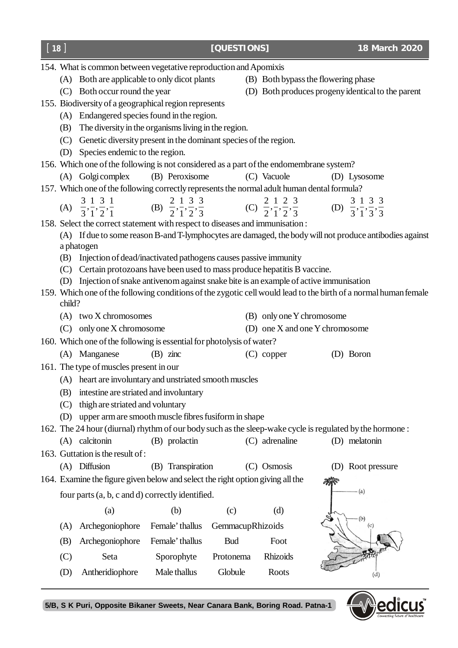|                                                                  | [18]                                                                                                                      |                                                                                                         |                      | [QUESTIONS]      |                                                             | 18 March 2020                                                                                                                                                                                                                       |  |
|------------------------------------------------------------------|---------------------------------------------------------------------------------------------------------------------------|---------------------------------------------------------------------------------------------------------|----------------------|------------------|-------------------------------------------------------------|-------------------------------------------------------------------------------------------------------------------------------------------------------------------------------------------------------------------------------------|--|
| 154. What is common between vegetative reproduction and Apomixis |                                                                                                                           |                                                                                                         |                      |                  |                                                             |                                                                                                                                                                                                                                     |  |
|                                                                  |                                                                                                                           | (A) Both are applicable to only dicot plants                                                            |                      |                  |                                                             | (B) Both bypass the flowering phase                                                                                                                                                                                                 |  |
|                                                                  |                                                                                                                           | (C) Both occur round the year                                                                           |                      |                  |                                                             | (D) Both produces progeny identical to the parent                                                                                                                                                                                   |  |
|                                                                  |                                                                                                                           | 155. Biodiversity of a geographical region represents                                                   |                      |                  |                                                             |                                                                                                                                                                                                                                     |  |
|                                                                  |                                                                                                                           | (A) Endangered species found in the region.                                                             |                      |                  |                                                             |                                                                                                                                                                                                                                     |  |
|                                                                  |                                                                                                                           | (B) The diversity in the organisms living in the region.                                                |                      |                  |                                                             |                                                                                                                                                                                                                                     |  |
|                                                                  |                                                                                                                           | (C) Genetic diversity present in the dominant species of the region.                                    |                      |                  |                                                             |                                                                                                                                                                                                                                     |  |
|                                                                  |                                                                                                                           | (D) Species endemic to the region.                                                                      |                      |                  |                                                             |                                                                                                                                                                                                                                     |  |
|                                                                  |                                                                                                                           | 156. Which one of the following is not considered as a part of the endomembrane system?                 |                      |                  |                                                             |                                                                                                                                                                                                                                     |  |
|                                                                  |                                                                                                                           | (A) Golgi complex                                                                                       | (B) Peroxisome       |                  | (C) Vacuole                                                 | (D) Lysosome                                                                                                                                                                                                                        |  |
|                                                                  | 157. Which one of the following correctly represents the normal adult human dental formula?                               |                                                                                                         |                      |                  |                                                             |                                                                                                                                                                                                                                     |  |
|                                                                  |                                                                                                                           |                                                                                                         |                      |                  |                                                             | (A) $\frac{3}{3}, \frac{1}{1}, \frac{3}{2}, \frac{1}{1}$ (B) $\frac{2}{2}, \frac{1}{1}, \frac{3}{2}, \frac{3}{3}$ (C) $\frac{2}{2}, \frac{1}{1}, \frac{2}{2}, \frac{3}{3}$ (D) $\frac{3}{3}, \frac{1}{1}, \frac{3}{3}, \frac{3}{3}$ |  |
|                                                                  | 158. Select the correct statement with respect to diseases and immunisation:                                              |                                                                                                         |                      |                  |                                                             |                                                                                                                                                                                                                                     |  |
|                                                                  |                                                                                                                           | (A) If due to some reason B-and T-lymphocytes are damaged, the body will not produce antibodies against |                      |                  |                                                             |                                                                                                                                                                                                                                     |  |
|                                                                  |                                                                                                                           | a phatogen                                                                                              |                      |                  |                                                             |                                                                                                                                                                                                                                     |  |
|                                                                  | (B)                                                                                                                       | Injection of dead/inactivated pathogens causes passive immunity                                         |                      |                  |                                                             |                                                                                                                                                                                                                                     |  |
|                                                                  |                                                                                                                           | (C) Certain protozoans have been used to mass produce hepatitis B vaccine.                              |                      |                  |                                                             |                                                                                                                                                                                                                                     |  |
|                                                                  | (D) Injection of snake antivenom against snake bite is an example of active immunisation                                  |                                                                                                         |                      |                  |                                                             |                                                                                                                                                                                                                                     |  |
|                                                                  | 159. Which one of the following conditions of the zygotic cell would lead to the birth of a normal human female<br>child? |                                                                                                         |                      |                  |                                                             |                                                                                                                                                                                                                                     |  |
|                                                                  |                                                                                                                           |                                                                                                         |                      |                  |                                                             |                                                                                                                                                                                                                                     |  |
|                                                                  |                                                                                                                           | (A) two X chromosomes                                                                                   |                      |                  | (B) only one Y chromosome<br>(D) one X and one Y chromosome |                                                                                                                                                                                                                                     |  |
|                                                                  |                                                                                                                           | $(C)$ only one X chromosome                                                                             |                      |                  |                                                             |                                                                                                                                                                                                                                     |  |
|                                                                  |                                                                                                                           | 160. Which one of the following is essential for photolysis of water?                                   |                      |                  |                                                             |                                                                                                                                                                                                                                     |  |
|                                                                  |                                                                                                                           | (A) Manganese                                                                                           | $(B)$ zinc           |                  | $(C)$ copper                                                | (D) Boron                                                                                                                                                                                                                           |  |
|                                                                  | 161. The type of muscles present in our                                                                                   |                                                                                                         |                      |                  |                                                             |                                                                                                                                                                                                                                     |  |
|                                                                  |                                                                                                                           | (A) heart are involuntary and unstriated smooth muscles                                                 |                      |                  |                                                             |                                                                                                                                                                                                                                     |  |
|                                                                  | (B)                                                                                                                       | intestine are striated and involuntary                                                                  |                      |                  |                                                             |                                                                                                                                                                                                                                     |  |
|                                                                  | (C)                                                                                                                       | thigh are striated and voluntary                                                                        |                      |                  |                                                             |                                                                                                                                                                                                                                     |  |
|                                                                  | upper arm are smooth muscle fibres fusiform in shape<br>(D)                                                               |                                                                                                         |                      |                  |                                                             |                                                                                                                                                                                                                                     |  |
|                                                                  |                                                                                                                           |                                                                                                         |                      |                  |                                                             | 162. The 24 hour (diurnal) rhythm of our body such as the sleep-wake cycle is regulated by the hormone:                                                                                                                             |  |
|                                                                  |                                                                                                                           | (A) calcitonin                                                                                          | (B) prolactin        |                  | (C) adrenaline                                              | (D) melatonin                                                                                                                                                                                                                       |  |
| 163. Guttation is the result of:                                 |                                                                                                                           |                                                                                                         |                      |                  |                                                             |                                                                                                                                                                                                                                     |  |
|                                                                  |                                                                                                                           | (A) Diffusion                                                                                           | Transpiration<br>(B) |                  | (C) Osmosis                                                 | Root pressure<br>(D)                                                                                                                                                                                                                |  |
|                                                                  | 164. Examine the figure given below and select the right option giving all the                                            |                                                                                                         |                      |                  |                                                             |                                                                                                                                                                                                                                     |  |
| (a)<br>four parts (a, b, c and d) correctly identified.          |                                                                                                                           |                                                                                                         |                      |                  |                                                             |                                                                                                                                                                                                                                     |  |
|                                                                  |                                                                                                                           | (a)                                                                                                     | (b)                  | (c)              | (d)                                                         |                                                                                                                                                                                                                                     |  |
|                                                                  | (A)                                                                                                                       | Archegoniophore                                                                                         | Female' thallus      | GemmacupRhizoids |                                                             | (b)<br>(c)                                                                                                                                                                                                                          |  |
|                                                                  | (B)                                                                                                                       | Archegoniophore                                                                                         | Female' thallus      | <b>Bud</b>       | Foot                                                        |                                                                                                                                                                                                                                     |  |
|                                                                  | (C)                                                                                                                       | Seta                                                                                                    | Sporophyte           | Protonema        | Rhizoids                                                    |                                                                                                                                                                                                                                     |  |
|                                                                  | (D)                                                                                                                       | Antheridiophore                                                                                         | Male thallus         | Globule          | Roots                                                       | (d)                                                                                                                                                                                                                                 |  |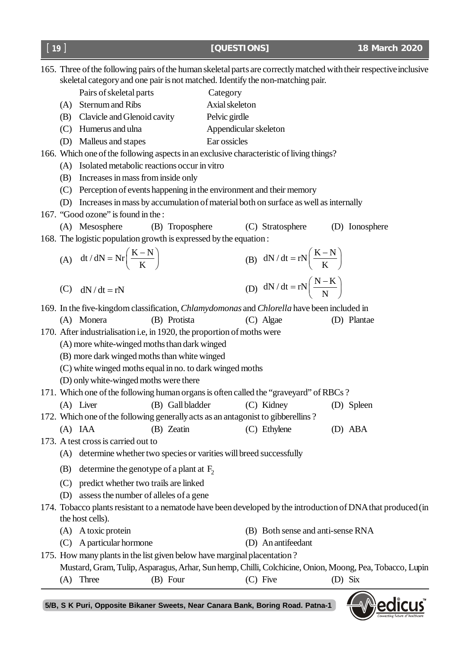

- 165. Three of the following pairs of the human skeletal parts are correctly matched with their respective inclusive skeletal category and one pair is not matched. Identify the non-matching pair.
	- Pairs of skeletal parts Category
	- (A) Sternum and Ribs Axial skeleton
	- (B) Clavicle and Glenoid cavity Pelvic girdle
	- (C) Humerus and ulna Appendicular skeleton
	- (D) Malleus and stapes Ear ossicles
- 166. Which one of the following aspects in an exclusive characteristic of living things?
	- (A) Isolated metabolic reactions occur in vitro
	- (B) Increases in mass from inside only
	- (C) Perception of events happening in the environment and their memory
	- (D) Increases in mass by accumulation of material both on surface as well as internally
- 167. "Good ozone" is found in the :
- (A) Mesosphere (B) Troposphere (C) Stratosphere (D) Ionosphere 168. The logistic population growth is expressed by the equation :
	- (A) dt / dN = Nr $\left(\frac{K-N}{K}\right)$ K  $= \text{Nr}\left(\frac{K-N}{K}\right)$  (B)  $dN/dt = rN\left(\frac{K-N}{K}\right)$ K  $= rN\left(\frac{K-N}{K}\right)$  $(C)$  dN / dt = rN  $dN/dt = rN\left(\frac{N-K}{N}\right)$ N  $= rN\left(\frac{N-K}{N}\right)$
- 169. In the five-kingdom classification, *Chlamydomonas* and *Chlorella* have been included in
	- (A) Monera (B) Protista (C) Algae (D) Plantae
- 170. After industrialisation i.e, in 1920, the proportion of moths were
	- (A) more white-winged moths than dark winged
	- (B) more dark winged moths than white winged
	- (C) white winged moths equal in no. to dark winged moths
	- (D) only white-winged moths were there
- 171. Which one of the following human organs is often called the "graveyard" of RBCs ?
	- (A) Liver (B) Gall bladder (C) Kidney (D) Spleen
- 172. Which one of the following generally acts as an antagonist to gibberellins ?

# 173. A test cross is carried out to

- 174. Tobacco plants resistant to a nematode have been developed by the introduction of DNA that produced (in
	-
	- Mustard, Gram, Tulip, Asparagus, Arhar, Sun hemp, Chilli, Colchicine, Onion, Moong, Pea, Tobacco, Lupin (A) Three (B) Four (C) Five (D) Six